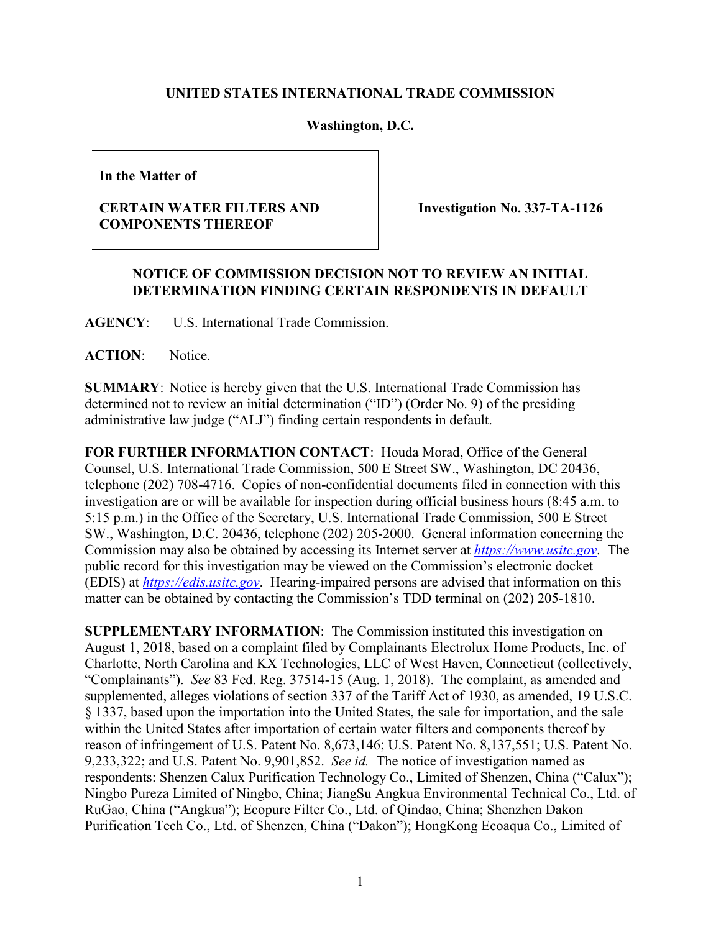## **UNITED STATES INTERNATIONAL TRADE COMMISSION**

## **Washington, D.C.**

**In the Matter of**

## **CERTAIN WATER FILTERS AND COMPONENTS THEREOF**

**Investigation No. 337-TA-1126**

## **NOTICE OF COMMISSION DECISION NOT TO REVIEW AN INITIAL DETERMINATION FINDING CERTAIN RESPONDENTS IN DEFAULT**

**AGENCY**: U.S. International Trade Commission.

ACTION: Notice.

**SUMMARY**: Notice is hereby given that the U.S. International Trade Commission has determined not to review an initial determination ("ID") (Order No. 9) of the presiding administrative law judge ("ALJ") finding certain respondents in default.

**FOR FURTHER INFORMATION CONTACT**: Houda Morad, Office of the General Counsel, U.S. International Trade Commission, 500 E Street SW., Washington, DC 20436, telephone (202) 708-4716. Copies of non-confidential documents filed in connection with this investigation are or will be available for inspection during official business hours (8:45 a.m. to 5:15 p.m.) in the Office of the Secretary, U.S. International Trade Commission, 500 E Street SW., Washington, D.C. 20436, telephone (202) 205-2000. General information concerning the Commission may also be obtained by accessing its Internet server at *[https://www.usitc.gov](https://www.usitc.gov/)*. The public record for this investigation may be viewed on the Commission's electronic docket (EDIS) at *[https://edis.usitc.gov](http://edis.usitc.gov/)*. Hearing-impaired persons are advised that information on this matter can be obtained by contacting the Commission's TDD terminal on (202) 205-1810.

**SUPPLEMENTARY INFORMATION**: The Commission instituted this investigation on August 1, 2018, based on a complaint filed by Complainants Electrolux Home Products, Inc. of Charlotte, North Carolina and KX Technologies, LLC of West Haven, Connecticut (collectively, "Complainants"). *See* 83 Fed. Reg. 37514-15 (Aug. 1, 2018). The complaint, as amended and supplemented, alleges violations of section 337 of the Tariff Act of 1930, as amended, 19 U.S.C. § 1337, based upon the importation into the United States, the sale for importation, and the sale within the United States after importation of certain water filters and components thereof by reason of infringement of U.S. Patent No. 8,673,146; U.S. Patent No. 8,137,551; U.S. Patent No. 9,233,322; and U.S. Patent No. 9,901,852. *See id.* The notice of investigation named as respondents: Shenzen Calux Purification Technology Co., Limited of Shenzen, China ("Calux"); Ningbo Pureza Limited of Ningbo, China; JiangSu Angkua Environmental Technical Co., Ltd. of RuGao, China ("Angkua"); Ecopure Filter Co., Ltd. of Qindao, China; Shenzhen Dakon Purification Tech Co., Ltd. of Shenzen, China ("Dakon"); HongKong Ecoaqua Co., Limited of